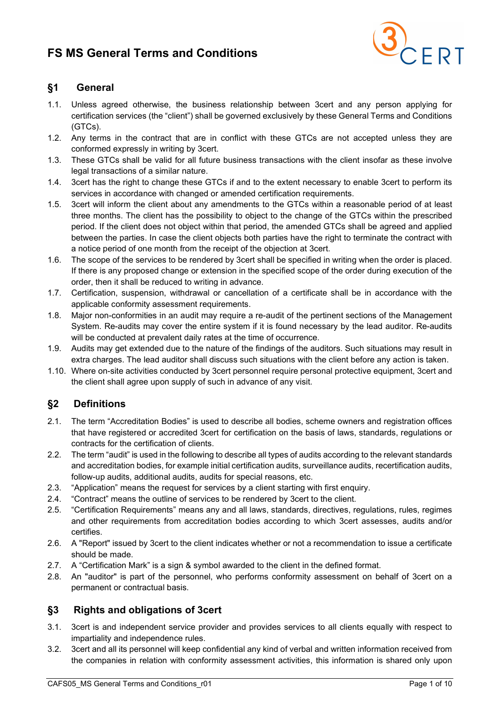

### §1 General

- 1.1. Unless agreed otherwise, the business relationship between 3cert and any person applying for certification services (the "client") shall be governed exclusively by these General Terms and Conditions (GTCs).
- 1.2. Any terms in the contract that are in conflict with these GTCs are not accepted unless they are conformed expressly in writing by 3cert.
- 1.3. These GTCs shall be valid for all future business transactions with the client insofar as these involve legal transactions of a similar nature.
- 1.4. 3cert has the right to change these GTCs if and to the extent necessary to enable 3cert to perform its services in accordance with changed or amended certification requirements.
- 1.5. 3cert will inform the client about any amendments to the GTCs within a reasonable period of at least three months. The client has the possibility to object to the change of the GTCs within the prescribed period. If the client does not object within that period, the amended GTCs shall be agreed and applied between the parties. In case the client objects both parties have the right to terminate the contract with a notice period of one month from the receipt of the objection at 3cert.
- 1.6. The scope of the services to be rendered by 3cert shall be specified in writing when the order is placed. If there is any proposed change or extension in the specified scope of the order during execution of the order, then it shall be reduced to writing in advance.
- 1.7. Certification, suspension, withdrawal or cancellation of a certificate shall be in accordance with the applicable conformity assessment requirements.
- 1.8. Major non-conformities in an audit may require a re-audit of the pertinent sections of the Management System. Re-audits may cover the entire system if it is found necessary by the lead auditor. Re-audits will be conducted at prevalent daily rates at the time of occurrence.
- 1.9. Audits may get extended due to the nature of the findings of the auditors. Such situations may result in extra charges. The lead auditor shall discuss such situations with the client before any action is taken.
- 1.10. Where on-site activities conducted by 3cert personnel require personal protective equipment, 3cert and the client shall agree upon supply of such in advance of any visit.

### §2 Definitions

- 2.1. The term "Accreditation Bodies" is used to describe all bodies, scheme owners and registration offices that have registered or accredited 3cert for certification on the basis of laws, standards, regulations or contracts for the certification of clients.
- 2.2. The term "audit" is used in the following to describe all types of audits according to the relevant standards and accreditation bodies, for example initial certification audits, surveillance audits, recertification audits, follow-up audits, additional audits, audits for special reasons, etc.
- 2.3. "Application" means the request for services by a client starting with first enquiry.
- 2.4. "Contract" means the outline of services to be rendered by 3cert to the client.
- 2.5. "Certification Requirements" means any and all laws, standards, directives, regulations, rules, regimes and other requirements from accreditation bodies according to which 3cert assesses, audits and/or certifies.
- 2.6. A "Report" issued by 3cert to the client indicates whether or not a recommendation to issue a certificate should be made.
- 2.7. A "Certification Mark" is a sign & symbol awarded to the client in the defined format.
- 2.8. An "auditor" is part of the personnel, who performs conformity assessment on behalf of 3cert on a permanent or contractual basis.

#### §3 Rights and obligations of 3cert

- 3.1. 3cert is and independent service provider and provides services to all clients equally with respect to impartiality and independence rules.
- 3.2. 3cert and all its personnel will keep confidential any kind of verbal and written information received from the companies in relation with conformity assessment activities, this information is shared only upon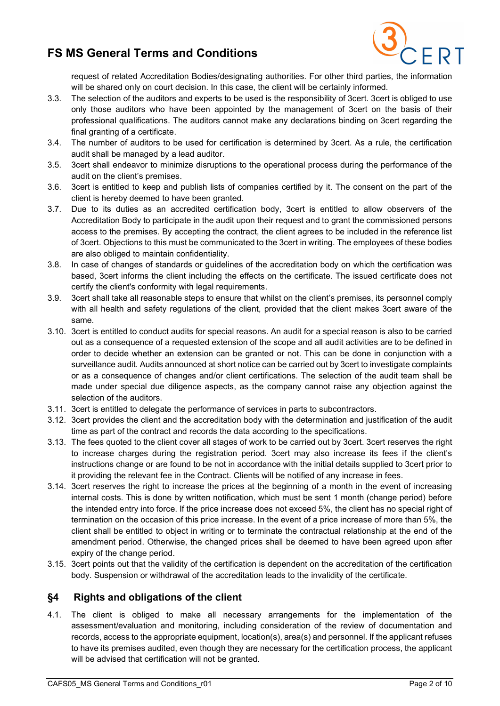

request of related Accreditation Bodies/designating authorities. For other third parties, the information will be shared only on court decision. In this case, the client will be certainly informed.

- 3.3. The selection of the auditors and experts to be used is the responsibility of 3cert. 3cert is obliged to use only those auditors who have been appointed by the management of 3cert on the basis of their professional qualifications. The auditors cannot make any declarations binding on 3cert regarding the final granting of a certificate.
- 3.4. The number of auditors to be used for certification is determined by 3cert. As a rule, the certification audit shall be managed by a lead auditor.
- 3.5. 3cert shall endeavor to minimize disruptions to the operational process during the performance of the audit on the client's premises.
- 3.6. 3cert is entitled to keep and publish lists of companies certified by it. The consent on the part of the client is hereby deemed to have been granted.
- 3.7. Due to its duties as an accredited certification body, 3cert is entitled to allow observers of the Accreditation Body to participate in the audit upon their request and to grant the commissioned persons access to the premises. By accepting the contract, the client agrees to be included in the reference list of 3cert. Objections to this must be communicated to the 3cert in writing. The employees of these bodies are also obliged to maintain confidentiality.
- 3.8. In case of changes of standards or guidelines of the accreditation body on which the certification was based, 3cert informs the client including the effects on the certificate. The issued certificate does not certify the client's conformity with legal requirements.
- 3.9. 3cert shall take all reasonable steps to ensure that whilst on the client's premises, its personnel comply with all health and safety regulations of the client, provided that the client makes 3cert aware of the same.
- 3.10. 3cert is entitled to conduct audits for special reasons. An audit for a special reason is also to be carried out as a consequence of a requested extension of the scope and all audit activities are to be defined in order to decide whether an extension can be granted or not. This can be done in conjunction with a surveillance audit. Audits announced at short notice can be carried out by 3cert to investigate complaints or as a consequence of changes and/or client certifications. The selection of the audit team shall be made under special due diligence aspects, as the company cannot raise any objection against the selection of the auditors.
- 3.11. 3cert is entitled to delegate the performance of services in parts to subcontractors.
- 3.12. 3cert provides the client and the accreditation body with the determination and justification of the audit time as part of the contract and records the data according to the specifications.
- 3.13. The fees quoted to the client cover all stages of work to be carried out by 3cert. 3cert reserves the right to increase charges during the registration period. 3cert may also increase its fees if the client's instructions change or are found to be not in accordance with the initial details supplied to 3cert prior to it providing the relevant fee in the Contract. Clients will be notified of any increase in fees.
- 3.14. 3cert reserves the right to increase the prices at the beginning of a month in the event of increasing internal costs. This is done by written notification, which must be sent 1 month (change period) before the intended entry into force. If the price increase does not exceed 5%, the client has no special right of termination on the occasion of this price increase. In the event of a price increase of more than 5%, the client shall be entitled to object in writing or to terminate the contractual relationship at the end of the amendment period. Otherwise, the changed prices shall be deemed to have been agreed upon after expiry of the change period.
- 3.15. 3cert points out that the validity of the certification is dependent on the accreditation of the certification body. Suspension or withdrawal of the accreditation leads to the invalidity of the certificate.

#### §4 Rights and obligations of the client

4.1. The client is obliged to make all necessary arrangements for the implementation of the assessment/evaluation and monitoring, including consideration of the review of documentation and records, access to the appropriate equipment, location(s), area(s) and personnel. If the applicant refuses to have its premises audited, even though they are necessary for the certification process, the applicant will be advised that certification will not be granted.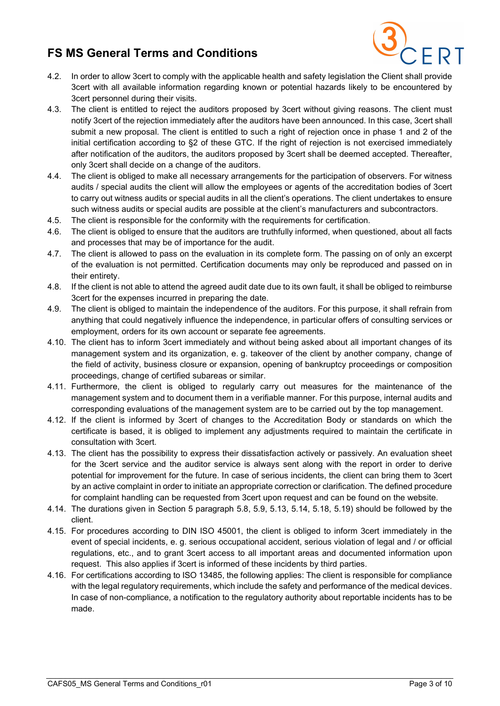

- 4.2. In order to allow 3cert to comply with the applicable health and safety legislation the Client shall provide 3cert with all available information regarding known or potential hazards likely to be encountered by 3cert personnel during their visits.
- 4.3. The client is entitled to reject the auditors proposed by 3cert without giving reasons. The client must notify 3cert of the rejection immediately after the auditors have been announced. In this case, 3cert shall submit a new proposal. The client is entitled to such a right of rejection once in phase 1 and 2 of the initial certification according to §2 of these GTC. If the right of rejection is not exercised immediately after notification of the auditors, the auditors proposed by 3cert shall be deemed accepted. Thereafter, only 3cert shall decide on a change of the auditors.
- 4.4. The client is obliged to make all necessary arrangements for the participation of observers. For witness audits / special audits the client will allow the employees or agents of the accreditation bodies of 3cert to carry out witness audits or special audits in all the client's operations. The client undertakes to ensure such witness audits or special audits are possible at the client's manufacturers and subcontractors.
- 4.5. The client is responsible for the conformity with the requirements for certification.
- 4.6. The client is obliged to ensure that the auditors are truthfully informed, when questioned, about all facts and processes that may be of importance for the audit.
- 4.7. The client is allowed to pass on the evaluation in its complete form. The passing on of only an excerpt of the evaluation is not permitted. Certification documents may only be reproduced and passed on in their entirety.
- 4.8. If the client is not able to attend the agreed audit date due to its own fault, it shall be obliged to reimburse 3cert for the expenses incurred in preparing the date.
- 4.9. The client is obliged to maintain the independence of the auditors. For this purpose, it shall refrain from anything that could negatively influence the independence, in particular offers of consulting services or employment, orders for its own account or separate fee agreements.
- 4.10. The client has to inform 3cert immediately and without being asked about all important changes of its management system and its organization, e. g. takeover of the client by another company, change of the field of activity, business closure or expansion, opening of bankruptcy proceedings or composition proceedings, change of certified subareas or similar.
- 4.11. Furthermore, the client is obliged to regularly carry out measures for the maintenance of the management system and to document them in a verifiable manner. For this purpose, internal audits and corresponding evaluations of the management system are to be carried out by the top management.
- 4.12. If the client is informed by 3cert of changes to the Accreditation Body or standards on which the certificate is based, it is obliged to implement any adjustments required to maintain the certificate in consultation with 3cert.
- 4.13. The client has the possibility to express their dissatisfaction actively or passively. An evaluation sheet for the 3cert service and the auditor service is always sent along with the report in order to derive potential for improvement for the future. In case of serious incidents, the client can bring them to 3cert by an active complaint in order to initiate an appropriate correction or clarification. The defined procedure for complaint handling can be requested from 3cert upon request and can be found on the website.
- 4.14. The durations given in Section 5 paragraph 5.8, 5.9, 5.13, 5.14, 5.18, 5.19) should be followed by the client.
- 4.15. For procedures according to DIN ISO 45001, the client is obliged to inform 3cert immediately in the event of special incidents, e. g. serious occupational accident, serious violation of legal and / or official regulations, etc., and to grant 3cert access to all important areas and documented information upon request. This also applies if 3cert is informed of these incidents by third parties.
- 4.16. For certifications according to ISO 13485, the following applies: The client is responsible for compliance with the legal regulatory requirements, which include the safety and performance of the medical devices. In case of non-compliance, a notification to the regulatory authority about reportable incidents has to be made.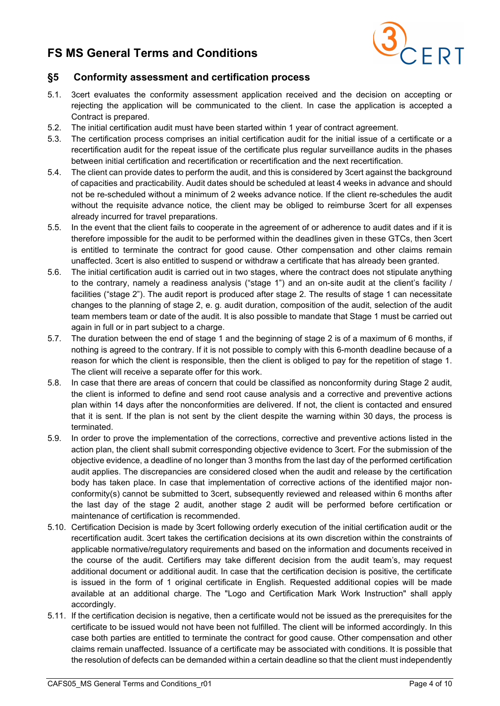

### §5 Conformity assessment and certification process

- 5.1. 3cert evaluates the conformity assessment application received and the decision on accepting or rejecting the application will be communicated to the client. In case the application is accepted a Contract is prepared.
- 5.2. The initial certification audit must have been started within 1 year of contract agreement.
- 5.3. The certification process comprises an initial certification audit for the initial issue of a certificate or a recertification audit for the repeat issue of the certificate plus regular surveillance audits in the phases between initial certification and recertification or recertification and the next recertification.
- 5.4. The client can provide dates to perform the audit, and this is considered by 3cert against the background of capacities and practicability. Audit dates should be scheduled at least 4 weeks in advance and should not be re-scheduled without a minimum of 2 weeks advance notice. If the client re-schedules the audit without the requisite advance notice, the client may be obliged to reimburse 3cert for all expenses already incurred for travel preparations.
- 5.5. In the event that the client fails to cooperate in the agreement of or adherence to audit dates and if it is therefore impossible for the audit to be performed within the deadlines given in these GTCs, then 3cert is entitled to terminate the contract for good cause. Other compensation and other claims remain unaffected. 3cert is also entitled to suspend or withdraw a certificate that has already been granted.
- 5.6. The initial certification audit is carried out in two stages, where the contract does not stipulate anything to the contrary, namely a readiness analysis ("stage 1") and an on-site audit at the client's facility / facilities ("stage 2"). The audit report is produced after stage 2. The results of stage 1 can necessitate changes to the planning of stage 2, e. g. audit duration, composition of the audit, selection of the audit team members team or date of the audit. It is also possible to mandate that Stage 1 must be carried out again in full or in part subject to a charge.
- 5.7. The duration between the end of stage 1 and the beginning of stage 2 is of a maximum of 6 months, if nothing is agreed to the contrary. If it is not possible to comply with this 6-month deadline because of a reason for which the client is responsible, then the client is obliged to pay for the repetition of stage 1. The client will receive a separate offer for this work.
- 5.8. In case that there are areas of concern that could be classified as nonconformity during Stage 2 audit, the client is informed to define and send root cause analysis and a corrective and preventive actions plan within 14 days after the nonconformities are delivered. If not, the client is contacted and ensured that it is sent. If the plan is not sent by the client despite the warning within 30 days, the process is terminated.
- 5.9. In order to prove the implementation of the corrections, corrective and preventive actions listed in the action plan, the client shall submit corresponding objective evidence to 3cert. For the submission of the objective evidence, a deadline of no longer than 3 months from the last day of the performed certification audit applies. The discrepancies are considered closed when the audit and release by the certification body has taken place. In case that implementation of corrective actions of the identified major nonconformity(s) cannot be submitted to 3cert, subsequently reviewed and released within 6 months after the last day of the stage 2 audit, another stage 2 audit will be performed before certification or maintenance of certification is recommended.
- 5.10. Certification Decision is made by 3cert following orderly execution of the initial certification audit or the recertification audit. 3cert takes the certification decisions at its own discretion within the constraints of applicable normative/regulatory requirements and based on the information and documents received in the course of the audit. Certifiers may take different decision from the audit team's, may request additional document or additional audit. In case that the certification decision is positive, the certificate is issued in the form of 1 original certificate in English. Requested additional copies will be made available at an additional charge. The "Logo and Certification Mark Work Instruction" shall apply accordingly.
- 5.11. If the certification decision is negative, then a certificate would not be issued as the prerequisites for the certificate to be issued would not have been not fulfilled. The client will be informed accordingly. In this case both parties are entitled to terminate the contract for good cause. Other compensation and other claims remain unaffected. Issuance of a certificate may be associated with conditions. It is possible that the resolution of defects can be demanded within a certain deadline so that the client must independently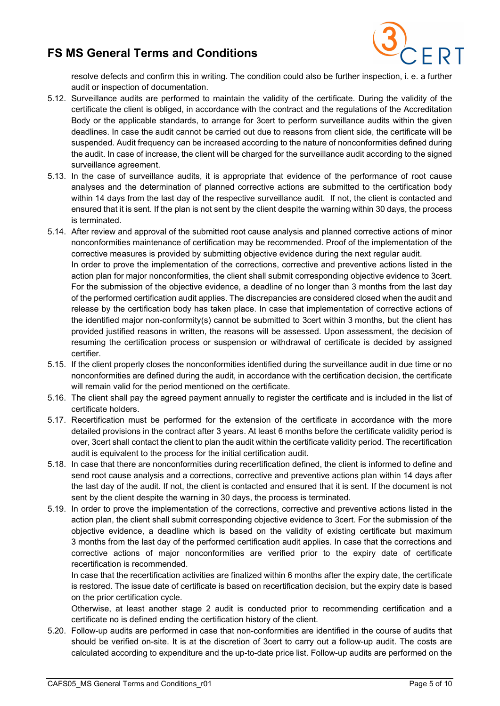

resolve defects and confirm this in writing. The condition could also be further inspection, i. e. a further audit or inspection of documentation.

- 5.12. Surveillance audits are performed to maintain the validity of the certificate. During the validity of the certificate the client is obliged, in accordance with the contract and the regulations of the Accreditation Body or the applicable standards, to arrange for 3cert to perform surveillance audits within the given deadlines. In case the audit cannot be carried out due to reasons from client side, the certificate will be suspended. Audit frequency can be increased according to the nature of nonconformities defined during the audit. In case of increase, the client will be charged for the surveillance audit according to the signed surveillance agreement.
- 5.13. In the case of surveillance audits, it is appropriate that evidence of the performance of root cause analyses and the determination of planned corrective actions are submitted to the certification body within 14 days from the last day of the respective surveillance audit. If not, the client is contacted and ensured that it is sent. If the plan is not sent by the client despite the warning within 30 days, the process is terminated.
- 5.14. After review and approval of the submitted root cause analysis and planned corrective actions of minor nonconformities maintenance of certification may be recommended. Proof of the implementation of the corrective measures is provided by submitting objective evidence during the next regular audit. In order to prove the implementation of the corrections, corrective and preventive actions listed in the action plan for major nonconformities, the client shall submit corresponding objective evidence to 3cert. For the submission of the objective evidence, a deadline of no longer than 3 months from the last day of the performed certification audit applies. The discrepancies are considered closed when the audit and release by the certification body has taken place. In case that implementation of corrective actions of the identified major non-conformity(s) cannot be submitted to 3cert within 3 months, but the client has provided justified reasons in written, the reasons will be assessed. Upon assessment, the decision of resuming the certification process or suspension or withdrawal of certificate is decided by assigned certifier.
- 5.15. If the client properly closes the nonconformities identified during the surveillance audit in due time or no nonconformities are defined during the audit, in accordance with the certification decision, the certificate will remain valid for the period mentioned on the certificate.
- 5.16. The client shall pay the agreed payment annually to register the certificate and is included in the list of certificate holders.
- 5.17. Recertification must be performed for the extension of the certificate in accordance with the more detailed provisions in the contract after 3 years. At least 6 months before the certificate validity period is over, 3cert shall contact the client to plan the audit within the certificate validity period. The recertification audit is equivalent to the process for the initial certification audit.
- 5.18. In case that there are nonconformities during recertification defined, the client is informed to define and send root cause analysis and a corrections, corrective and preventive actions plan within 14 days after the last day of the audit. If not, the client is contacted and ensured that it is sent. If the document is not sent by the client despite the warning in 30 days, the process is terminated.
- 5.19. In order to prove the implementation of the corrections, corrective and preventive actions listed in the action plan, the client shall submit corresponding objective evidence to 3cert. For the submission of the objective evidence, a deadline which is based on the validity of existing certificate but maximum 3 months from the last day of the performed certification audit applies. In case that the corrections and corrective actions of major nonconformities are verified prior to the expiry date of certificate recertification is recommended.

In case that the recertification activities are finalized within 6 months after the expiry date, the certificate is restored. The issue date of certificate is based on recertification decision, but the expiry date is based on the prior certification cycle.

Otherwise, at least another stage 2 audit is conducted prior to recommending certification and a certificate no is defined ending the certification history of the client.

5.20. Follow-up audits are performed in case that non-conformities are identified in the course of audits that should be verified on-site. It is at the discretion of 3cert to carry out a follow-up audit. The costs are calculated according to expenditure and the up-to-date price list. Follow-up audits are performed on the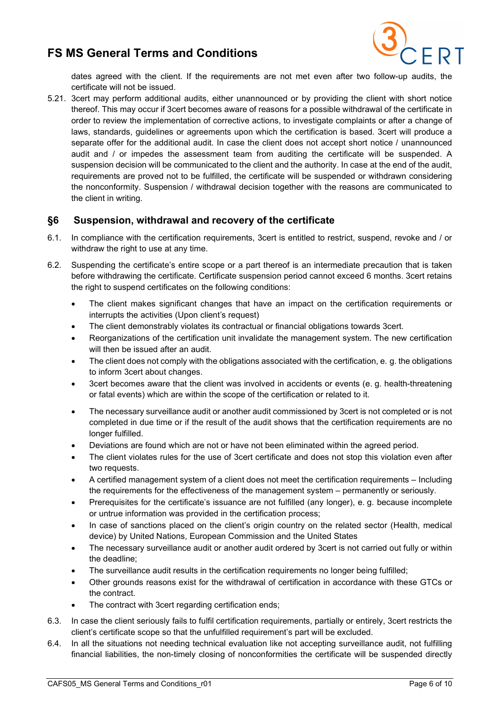

dates agreed with the client. If the requirements are not met even after two follow-up audits, the certificate will not be issued.

5.21. 3cert may perform additional audits, either unannounced or by providing the client with short notice thereof. This may occur if 3cert becomes aware of reasons for a possible withdrawal of the certificate in order to review the implementation of corrective actions, to investigate complaints or after a change of laws, standards, guidelines or agreements upon which the certification is based. 3cert will produce a separate offer for the additional audit. In case the client does not accept short notice / unannounced audit and / or impedes the assessment team from auditing the certificate will be suspended. A suspension decision will be communicated to the client and the authority. In case at the end of the audit, requirements are proved not to be fulfilled, the certificate will be suspended or withdrawn considering the nonconformity. Suspension / withdrawal decision together with the reasons are communicated to the client in writing.

#### §6 Suspension, withdrawal and recovery of the certificate

- 6.1. In compliance with the certification requirements, 3cert is entitled to restrict, suspend, revoke and / or withdraw the right to use at any time.
- 6.2. Suspending the certificate's entire scope or a part thereof is an intermediate precaution that is taken before withdrawing the certificate. Certificate suspension period cannot exceed 6 months. 3cert retains the right to suspend certificates on the following conditions:
	- The client makes significant changes that have an impact on the certification requirements or interrupts the activities (Upon client's request)
	- The client demonstrably violates its contractual or financial obligations towards 3cert.
	- Reorganizations of the certification unit invalidate the management system. The new certification will then be issued after an audit.
	- The client does not comply with the obligations associated with the certification, e. g. the obligations to inform 3cert about changes.
	- 3cert becomes aware that the client was involved in accidents or events (e. g. health-threatening or fatal events) which are within the scope of the certification or related to it.
	- The necessary surveillance audit or another audit commissioned by 3cert is not completed or is not completed in due time or if the result of the audit shows that the certification requirements are no longer fulfilled.
	- Deviations are found which are not or have not been eliminated within the agreed period.
	- The client violates rules for the use of 3cert certificate and does not stop this violation even after two requests.
	- A certified management system of a client does not meet the certification requirements Including the requirements for the effectiveness of the management system – permanently or seriously.
	- Prerequisites for the certificate's issuance are not fulfilled (any longer), e. g. because incomplete or untrue information was provided in the certification process;
	- In case of sanctions placed on the client's origin country on the related sector (Health, medical device) by United Nations, European Commission and the United States
	- The necessary surveillance audit or another audit ordered by 3cert is not carried out fully or within the deadline;
	- The surveillance audit results in the certification requirements no longer being fulfilled;
	- Other grounds reasons exist for the withdrawal of certification in accordance with these GTCs or the contract.
	- The contract with 3cert regarding certification ends;
- 6.3. In case the client seriously fails to fulfil certification requirements, partially or entirely, 3cert restricts the client's certificate scope so that the unfulfilled requirement's part will be excluded.
- 6.4. In all the situations not needing technical evaluation like not accepting surveillance audit, not fulfilling financial liabilities, the non-timely closing of nonconformities the certificate will be suspended directly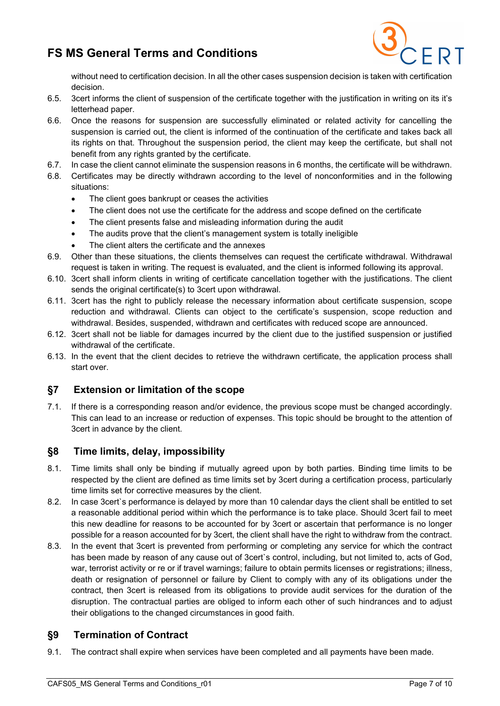

without need to certification decision. In all the other cases suspension decision is taken with certification decision.

- 6.5. 3cert informs the client of suspension of the certificate together with the justification in writing on its it's letterhead paper.
- 6.6. Once the reasons for suspension are successfully eliminated or related activity for cancelling the suspension is carried out, the client is informed of the continuation of the certificate and takes back all its rights on that. Throughout the suspension period, the client may keep the certificate, but shall not benefit from any rights granted by the certificate.
- 6.7. In case the client cannot eliminate the suspension reasons in 6 months, the certificate will be withdrawn.
- 6.8. Certificates may be directly withdrawn according to the level of nonconformities and in the following situations:
	- The client goes bankrupt or ceases the activities
	- The client does not use the certificate for the address and scope defined on the certificate
	- The client presents false and misleading information during the audit
	- The audits prove that the client's management system is totally ineligible
	- The client alters the certificate and the annexes
- 6.9. Other than these situations, the clients themselves can request the certificate withdrawal. Withdrawal request is taken in writing. The request is evaluated, and the client is informed following its approval.
- 6.10. 3cert shall inform clients in writing of certificate cancellation together with the justifications. The client sends the original certificate(s) to 3cert upon withdrawal.
- 6.11. 3cert has the right to publicly release the necessary information about certificate suspension, scope reduction and withdrawal. Clients can object to the certificate's suspension, scope reduction and withdrawal. Besides, suspended, withdrawn and certificates with reduced scope are announced.
- 6.12. 3cert shall not be liable for damages incurred by the client due to the justified suspension or justified withdrawal of the certificate.
- 6.13. In the event that the client decides to retrieve the withdrawn certificate, the application process shall start over.

#### §7 Extension or limitation of the scope

7.1. If there is a corresponding reason and/or evidence, the previous scope must be changed accordingly. This can lead to an increase or reduction of expenses. This topic should be brought to the attention of 3cert in advance by the client.

#### §8 Time limits, delay, impossibility

- 8.1. Time limits shall only be binding if mutually agreed upon by both parties. Binding time limits to be respected by the client are defined as time limits set by 3cert during a certification process, particularly time limits set for corrective measures by the client.
- 8.2. In case 3cert`s performance is delayed by more than 10 calendar days the client shall be entitled to set a reasonable additional period within which the performance is to take place. Should 3cert fail to meet this new deadline for reasons to be accounted for by 3cert or ascertain that performance is no longer possible for a reason accounted for by 3cert, the client shall have the right to withdraw from the contract.
- 8.3. In the event that 3cert is prevented from performing or completing any service for which the contract has been made by reason of any cause out of 3cert`s control, including, but not limited to, acts of God, war, terrorist activity or re or if travel warnings; failure to obtain permits licenses or registrations; illness, death or resignation of personnel or failure by Client to comply with any of its obligations under the contract, then 3cert is released from its obligations to provide audit services for the duration of the disruption. The contractual parties are obliged to inform each other of such hindrances and to adjust their obligations to the changed circumstances in good faith.

#### §9 Termination of Contract

9.1. The contract shall expire when services have been completed and all payments have been made.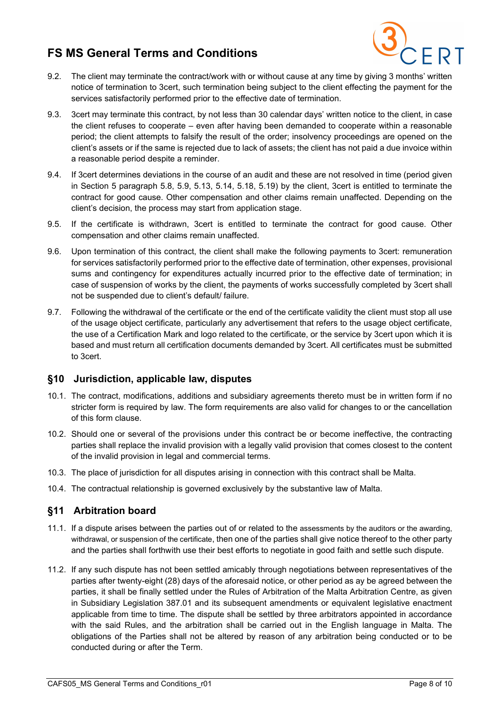

- 9.2. The client may terminate the contract/work with or without cause at any time by giving 3 months' written notice of termination to 3cert, such termination being subject to the client effecting the payment for the services satisfactorily performed prior to the effective date of termination.
- 9.3. 3cert may terminate this contract, by not less than 30 calendar days' written notice to the client, in case the client refuses to cooperate – even after having been demanded to cooperate within a reasonable period; the client attempts to falsify the result of the order; insolvency proceedings are opened on the client's assets or if the same is rejected due to lack of assets; the client has not paid a due invoice within a reasonable period despite a reminder.
- 9.4. If 3cert determines deviations in the course of an audit and these are not resolved in time (period given in Section 5 paragraph 5.8, 5.9, 5.13, 5.14, 5.18, 5.19) by the client, 3cert is entitled to terminate the contract for good cause. Other compensation and other claims remain unaffected. Depending on the client's decision, the process may start from application stage.
- 9.5. If the certificate is withdrawn, 3cert is entitled to terminate the contract for good cause. Other compensation and other claims remain unaffected.
- 9.6. Upon termination of this contract, the client shall make the following payments to 3cert: remuneration for services satisfactorily performed prior to the effective date of termination, other expenses, provisional sums and contingency for expenditures actually incurred prior to the effective date of termination; in case of suspension of works by the client, the payments of works successfully completed by 3cert shall not be suspended due to client's default/ failure.
- 9.7. Following the withdrawal of the certificate or the end of the certificate validity the client must stop all use of the usage object certificate, particularly any advertisement that refers to the usage object certificate, the use of a Certification Mark and logo related to the certificate, or the service by 3cert upon which it is based and must return all certification documents demanded by 3cert. All certificates must be submitted to 3cert.

#### §10 Jurisdiction, applicable law, disputes

- 10.1. The contract, modifications, additions and subsidiary agreements thereto must be in written form if no stricter form is required by law. The form requirements are also valid for changes to or the cancellation of this form clause.
- 10.2. Should one or several of the provisions under this contract be or become ineffective, the contracting parties shall replace the invalid provision with a legally valid provision that comes closest to the content of the invalid provision in legal and commercial terms.
- 10.3. The place of jurisdiction for all disputes arising in connection with this contract shall be Malta.
- 10.4. The contractual relationship is governed exclusively by the substantive law of Malta.

#### §11 Arbitration board

- 11.1. If a dispute arises between the parties out of or related to the assessments by the auditors or the awarding, withdrawal, or suspension of the certificate, then one of the parties shall give notice thereof to the other party and the parties shall forthwith use their best efforts to negotiate in good faith and settle such dispute.
- 11.2. If any such dispute has not been settled amicably through negotiations between representatives of the parties after twenty-eight (28) days of the aforesaid notice, or other period as ay be agreed between the parties, it shall be finally settled under the Rules of Arbitration of the Malta Arbitration Centre, as given in Subsidiary Legislation 387.01 and its subsequent amendments or equivalent legislative enactment applicable from time to time. The dispute shall be settled by three arbitrators appointed in accordance with the said Rules, and the arbitration shall be carried out in the English language in Malta. The obligations of the Parties shall not be altered by reason of any arbitration being conducted or to be conducted during or after the Term.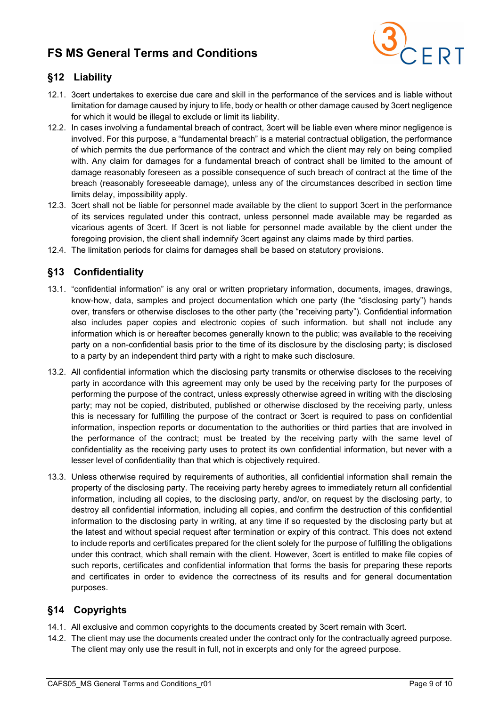

### §12 Liability

- 12.1. 3cert undertakes to exercise due care and skill in the performance of the services and is liable without limitation for damage caused by injury to life, body or health or other damage caused by 3cert negligence for which it would be illegal to exclude or limit its liability.
- 12.2. In cases involving a fundamental breach of contract, 3cert will be liable even where minor negligence is involved. For this purpose, a "fundamental breach" is a material contractual obligation, the performance of which permits the due performance of the contract and which the client may rely on being complied with. Any claim for damages for a fundamental breach of contract shall be limited to the amount of damage reasonably foreseen as a possible consequence of such breach of contract at the time of the breach (reasonably foreseeable damage), unless any of the circumstances described in section time limits delay, impossibility apply.
- 12.3. 3cert shall not be liable for personnel made available by the client to support 3cert in the performance of its services regulated under this contract, unless personnel made available may be regarded as vicarious agents of 3cert. If 3cert is not liable for personnel made available by the client under the foregoing provision, the client shall indemnify 3cert against any claims made by third parties.
- 12.4. The limitation periods for claims for damages shall be based on statutory provisions.

### §13 Confidentiality

- 13.1. "confidential information" is any oral or written proprietary information, documents, images, drawings, know-how, data, samples and project documentation which one party (the "disclosing party") hands over, transfers or otherwise discloses to the other party (the "receiving party"). Confidential information also includes paper copies and electronic copies of such information. but shall not include any information which is or hereafter becomes generally known to the public; was available to the receiving party on a non-confidential basis prior to the time of its disclosure by the disclosing party; is disclosed to a party by an independent third party with a right to make such disclosure.
- 13.2. All confidential information which the disclosing party transmits or otherwise discloses to the receiving party in accordance with this agreement may only be used by the receiving party for the purposes of performing the purpose of the contract, unless expressly otherwise agreed in writing with the disclosing party; may not be copied, distributed, published or otherwise disclosed by the receiving party, unless this is necessary for fulfilling the purpose of the contract or 3cert is required to pass on confidential information, inspection reports or documentation to the authorities or third parties that are involved in the performance of the contract; must be treated by the receiving party with the same level of confidentiality as the receiving party uses to protect its own confidential information, but never with a lesser level of confidentiality than that which is objectively required.
- 13.3. Unless otherwise required by requirements of authorities, all confidential information shall remain the property of the disclosing party. The receiving party hereby agrees to immediately return all confidential information, including all copies, to the disclosing party, and/or, on request by the disclosing party, to destroy all confidential information, including all copies, and confirm the destruction of this confidential information to the disclosing party in writing, at any time if so requested by the disclosing party but at the latest and without special request after termination or expiry of this contract. This does not extend to include reports and certificates prepared for the client solely for the purpose of fulfilling the obligations under this contract, which shall remain with the client. However, 3cert is entitled to make file copies of such reports, certificates and confidential information that forms the basis for preparing these reports and certificates in order to evidence the correctness of its results and for general documentation purposes.

### §14 Copyrights

- 14.1. All exclusive and common copyrights to the documents created by 3cert remain with 3cert.
- 14.2. The client may use the documents created under the contract only for the contractually agreed purpose. The client may only use the result in full, not in excerpts and only for the agreed purpose.